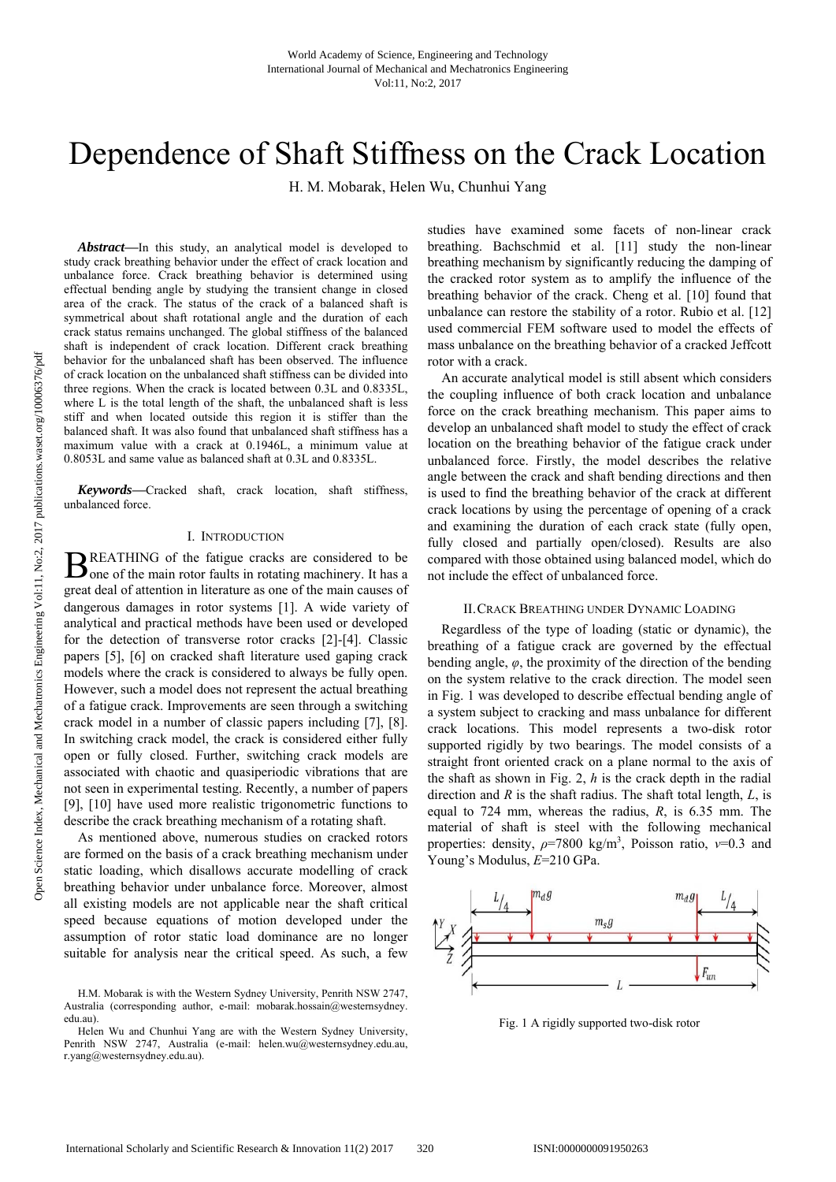# Dependence of Shaft Stiffness on the Crack Location

H. M. Mobarak, Helen Wu, Chunhui Yang

*Abstract***—**In this study, an analytical model is developed to study crack breathing behavior under the effect of crack location and unbalance force. Crack breathing behavior is determined using effectual bending angle by studying the transient change in closed area of the crack. The status of the crack of a balanced shaft is symmetrical about shaft rotational angle and the duration of each crack status remains unchanged. The global stiffness of the balanced shaft is independent of crack location. Different crack breathing behavior for the unbalanced shaft has been observed. The influence of crack location on the unbalanced shaft stiffness can be divided into three regions. When the crack is located between 0.3L and 0.8335L, where L is the total length of the shaft, the unbalanced shaft is less stiff and when located outside this region it is stiffer than the balanced shaft. It was also found that unbalanced shaft stiffness has a maximum value with a crack at 0.1946L, a minimum value at 0.8053L and same value as balanced shaft at 0.3L and 0.8335L.

*Keywords***—**Cracked shaft, crack location, shaft stiffness, unbalanced force.

## I. INTRODUCTION

REATHING of the fatigue cracks are considered to be  $\mathbf{B}$ REATHING of the fatigue cracks are considered to be one of the main rotor faults in rotating machinery. It has a great deal of attention in literature as one of the main causes of dangerous damages in rotor systems [1]. A wide variety of analytical and practical methods have been used or developed for the detection of transverse rotor cracks [2]-[4]. Classic papers [5], [6] on cracked shaft literature used gaping crack models where the crack is considered to always be fully open. However, such a model does not represent the actual breathing of a fatigue crack. Improvements are seen through a switching crack model in a number of classic papers including [7], [8]. In switching crack model, the crack is considered either fully open or fully closed. Further, switching crack models are associated with chaotic and quasiperiodic vibrations that are not seen in experimental testing. Recently, a number of papers [9], [10] have used more realistic trigonometric functions to describe the crack breathing mechanism of a rotating shaft.

As mentioned above, numerous studies on cracked rotors are formed on the basis of a crack breathing mechanism under static loading, which disallows accurate modelling of crack breathing behavior under unbalance force. Moreover, almost all existing models are not applicable near the shaft critical speed because equations of motion developed under the assumption of rotor static load dominance are no longer suitable for analysis near the critical speed. As such, a few studies have examined some facets of non-linear crack breathing. Bachschmid et al. [11] study the non-linear breathing mechanism by significantly reducing the damping of the cracked rotor system as to amplify the influence of the breathing behavior of the crack. Cheng et al. [10] found that unbalance can restore the stability of a rotor. Rubio et al. [12] used commercial FEM software used to model the effects of mass unbalance on the breathing behavior of a cracked Jeffcott rotor with a crack.

An accurate analytical model is still absent which considers the coupling influence of both crack location and unbalance force on the crack breathing mechanism. This paper aims to develop an unbalanced shaft model to study the effect of crack location on the breathing behavior of the fatigue crack under unbalanced force. Firstly, the model describes the relative angle between the crack and shaft bending directions and then is used to find the breathing behavior of the crack at different crack locations by using the percentage of opening of a crack and examining the duration of each crack state (fully open, fully closed and partially open/closed). Results are also compared with those obtained using balanced model, which do not include the effect of unbalanced force.

# II.CRACK BREATHING UNDER DYNAMIC LOADING

Regardless of the type of loading (static or dynamic), the breathing of a fatigue crack are governed by the effectual bending angle,  $\varphi$ , the proximity of the direction of the bending on the system relative to the crack direction. The model seen in Fig. 1 was developed to describe effectual bending angle of a system subject to cracking and mass unbalance for different crack locations. This model represents a two-disk rotor supported rigidly by two bearings. The model consists of a straight front oriented crack on a plane normal to the axis of the shaft as shown in Fig. 2, *h* is the crack depth in the radial direction and *R* is the shaft radius. The shaft total length, *L*, is equal to 724 mm, whereas the radius, *R*, is 6.35 mm. The material of shaft is steel with the following mechanical properties: density, *ρ*=7800 kg/m3 , Poisson ratio, *ν*=0.3 and Young's Modulus, *E*=210 GPa.



Fig. 1 A rigidly supported two-disk rotor

H.M. Mobarak is with the Western Sydney University, Penrith NSW 2747, Australia (corresponding author, e-mail: mobarak.hossain@westernsydney. edu.au).

Helen Wu and Chunhui Yang are with the Western Sydney University, Penrith NSW 2747, Australia (e-mail: helen.wu@westernsydney.edu.au, r.yang@westernsydney.edu.au).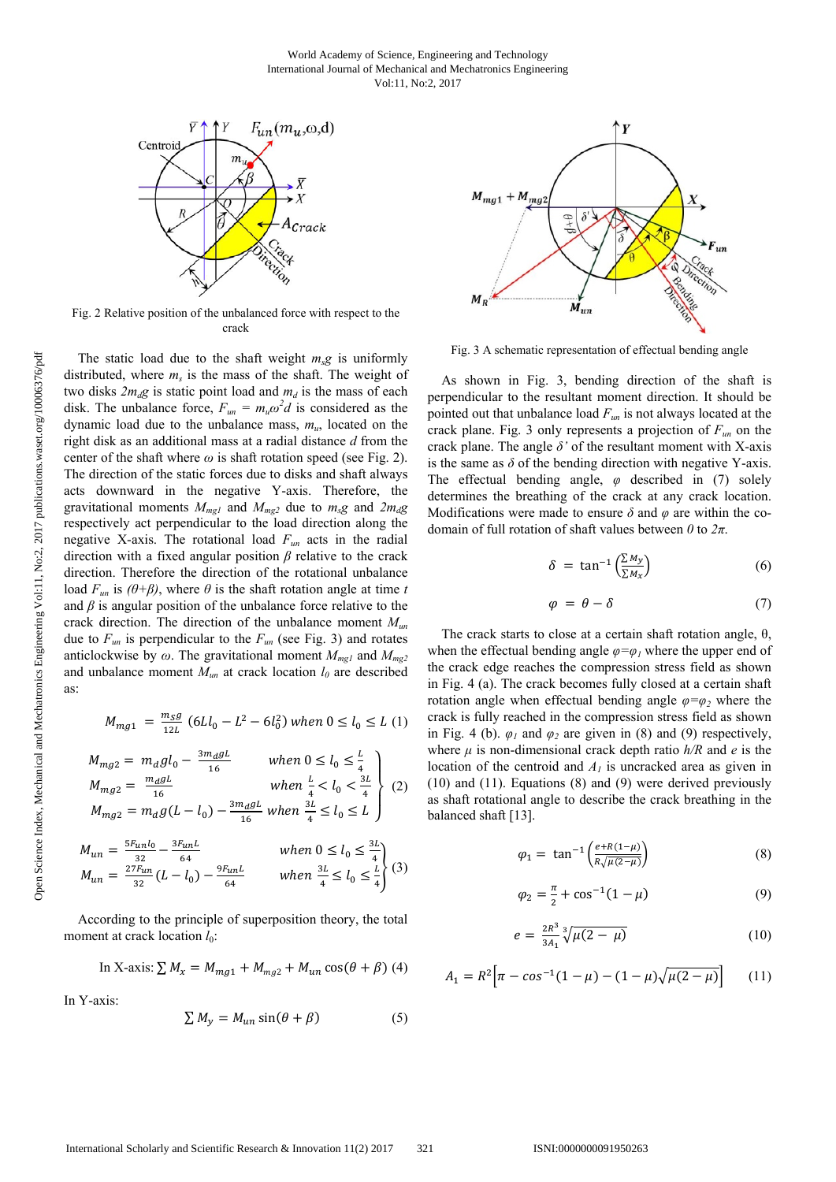

Fig. 2 Relative position of the unbalanced force with respect to the crack

The static load due to the shaft weight  $m_s g$  is uniformly distributed, where  $m_s$  is the mass of the shaft. The weight of two disks  $2m_d$ g is static point load and  $m_d$  is the mass of each disk. The unbalance force,  $F_{un} = m_u \omega^2 d$  is considered as the dynamic load due to the unbalance mass, *mu*, located on the right disk as an additional mass at a radial distance *d* from the center of the shaft where  $\omega$  is shaft rotation speed (see Fig. 2). The direction of the static forces due to disks and shaft always acts downward in the negative Y-axis. Therefore, the gravitational moments  $M_{mg1}$  and  $M_{mg2}$  due to  $m_s g$  and  $2m_d g$ respectively act perpendicular to the load direction along the negative X-axis. The rotational load *Fun* acts in the radial direction with a fixed angular position *β* relative to the crack direction. Therefore the direction of the rotational unbalance load  $F_{un}$  is  $(\theta + \beta)$ , where  $\theta$  is the shaft rotation angle at time *t* and  $\beta$  is angular position of the unbalance force relative to the crack direction. The direction of the unbalance moment *Mun* due to  $F_{un}$  is perpendicular to the  $F_{un}$  (see Fig. 3) and rotates anticlockwise by  $\omega$ . The gravitational moment  $M_{mg1}$  and  $M_{mg2}$ and unbalance moment  $M_{un}$  at crack location  $l_0$  are described as:

$$
M_{mg1}\,=\,\frac{m_Sg}{12L}\,\left(6Ll_0-L^2-6l_0^2\right) when \, 0\leq l_0\leq L\,\left(1\right)
$$

$$
M_{mg2} = m_d g l_0 - \frac{3m_d g L}{16}
$$
 when  $0 \le l_0 \le \frac{L}{4}$   
\n
$$
M_{mg2} = \frac{m_d g L}{16}
$$
 when  $\frac{L}{4} < l_0 < \frac{3L}{4}$   
\n
$$
M_{mg2} = m_d g (L - l_0) - \frac{3m_d g L}{16}
$$
 when  $\frac{3L}{4} \le l_0 \le L$  (2)

$$
M_{un} = \frac{5r_{un}l_0}{32} - \frac{3r_{un}l}{64}
$$
 when  $0 \le l_0 \le \frac{3l}{4}$   
\n
$$
M_{un} = \frac{27r_{un}}{32}(L - l_0) - \frac{9r_{un}l}{64}
$$
 when  $\frac{3l}{4} \le l_0 \le \frac{l}{4}$  (3)

According to the principle of superposition theory, the total moment at crack location  $l_0$ :

In X-axis: 
$$
\sum M_x = M_{mg1} + M_{mg2} + M_{un} \cos(\theta + \beta)
$$
 (4)

In Y-axis:

$$
\sum M_y = M_{un} \sin(\theta + \beta) \tag{5}
$$



Fig. 3 A schematic representation of effectual bending angle

As shown in Fig. 3, bending direction of the shaft is perpendicular to the resultant moment direction. It should be pointed out that unbalance load  $F_{un}$  is not always located at the crack plane. Fig. 3 only represents a projection of *Fun* on the crack plane. The angle *δ'* of the resultant moment with X-axis is the same as  $\delta$  of the bending direction with negative Y-axis. The effectual bending angle, *φ* described in (7) solely determines the breathing of the crack at any crack location. Modifications were made to ensure  $\delta$  and  $\varphi$  are within the codomain of full rotation of shaft values between *0* to *2π*.

$$
\delta = \tan^{-1}\left(\frac{\sum M_{y}}{\sum M_{x}}\right) \tag{6}
$$

$$
\varphi = \theta - \delta \tag{7}
$$

The crack starts to close at a certain shaft rotation angle,  $\theta$ , when the effectual bending angle  $\varphi = \varphi_l$  where the upper end of the crack edge reaches the compression stress field as shown in Fig. 4 (a). The crack becomes fully closed at a certain shaft rotation angle when effectual bending angle  $\varphi = \varphi$ <sub>2</sub> where the crack is fully reached in the compression stress field as shown in Fig. 4 (b).  $\varphi_1$  and  $\varphi_2$  are given in (8) and (9) respectively, where  $\mu$  is non-dimensional crack depth ratio  $h/R$  and  $e$  is the location of the centroid and *A1* is uncracked area as given in (10) and (11). Equations (8) and (9) were derived previously as shaft rotational angle to describe the crack breathing in the balanced shaft [13].

$$
\varphi_1 = \tan^{-1}\left(\frac{e + R(1-\mu)}{R\sqrt{\mu(2-\mu)}}\right) \tag{8}
$$

$$
\varphi_2 = \frac{\pi}{2} + \cos^{-1}(1 - \mu) \tag{9}
$$

$$
e = \frac{2R^3}{3A_1} \sqrt[3]{\mu(2-\mu)} \tag{10}
$$

$$
A_1 = R^2 \Big[ \pi - \cos^{-1}(1 - \mu) - (1 - \mu) \sqrt{\mu(2 - \mu)} \Big] \tag{11}
$$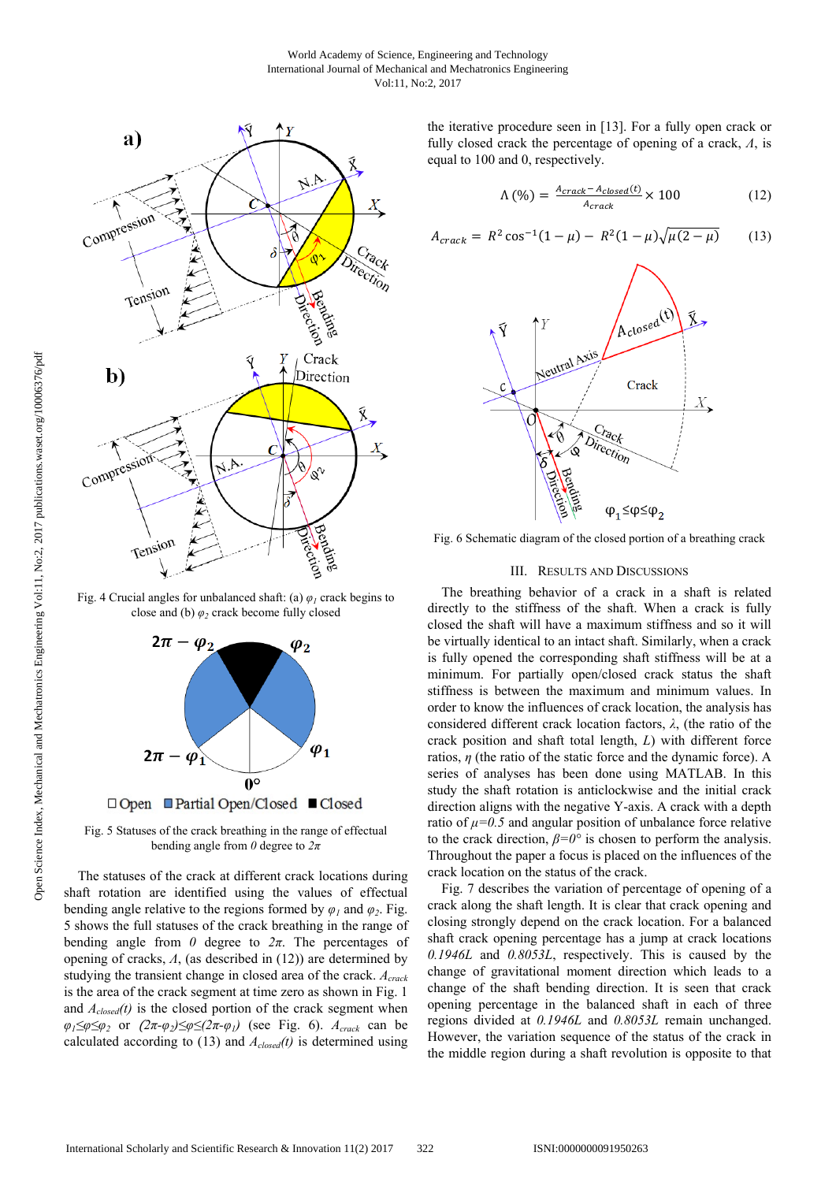

Fig. 4 Crucial angles for unbalanced shaft: (a)  $\varphi_l$  crack begins to close and (b) *φ2* crack become fully closed



Fig. 5 Statuses of the crack breathing in the range of effectual bending angle from *0* degree to *2π*

The statuses of the crack at different crack locations during shaft rotation are identified using the values of effectual bending angle relative to the regions formed by  $\varphi_1$  and  $\varphi_2$ . Fig. 5 shows the full statuses of the crack breathing in the range of bending angle from  $\theta$  degree to  $2\pi$ . The percentages of opening of cracks, *Ʌ*, (as described in (12)) are determined by studying the transient change in closed area of the crack. *Acrack* is the area of the crack segment at time zero as shown in Fig. 1 and  $A_{closed}(t)$  is the closed portion of the crack segment when *φ*<sub>1</sub>≤ $\varphi$ ≤ $\varphi$ <sub>2</sub> or (2π- $\varphi$ <sub>2</sub>)≤ $\varphi$ ≤(2π- $\varphi$ <sub>*1</sub>*) (see Fig. 6). *A<sub>crack</sub>* can be</sub> calculated according to  $(13)$  and  $A_{closed}(t)$  is determined using

the iterative procedure seen in [13]. For a fully open crack or fully closed crack the percentage of opening of a crack,  $\Lambda$ , is equal to 100 and 0, respectively.

$$
\Lambda\left(\% \right) = \frac{A_{crack} - A_{closed}(t)}{A_{crack}} \times 100\tag{12}
$$

$$
A_{crack} = R^2 \cos^{-1}(1-\mu) - R^2(1-\mu)\sqrt{\mu(2-\mu)} \tag{13}
$$



Fig. 6 Schematic diagram of the closed portion of a breathing crack

## III. RESULTS AND DISCUSSIONS

The breathing behavior of a crack in a shaft is related directly to the stiffness of the shaft. When a crack is fully closed the shaft will have a maximum stiffness and so it will be virtually identical to an intact shaft. Similarly, when a crack is fully opened the corresponding shaft stiffness will be at a minimum. For partially open/closed crack status the shaft stiffness is between the maximum and minimum values. In order to know the influences of crack location, the analysis has considered different crack location factors, *λ*, (the ratio of the crack position and shaft total length, *L*) with different force ratios, *η* (the ratio of the static force and the dynamic force). A series of analyses has been done using MATLAB. In this study the shaft rotation is anticlockwise and the initial crack direction aligns with the negative Y-axis. A crack with a depth ratio of *μ=0.5* and angular position of unbalance force relative to the crack direction, *β=0°* is chosen to perform the analysis. Throughout the paper a focus is placed on the influences of the crack location on the status of the crack.

Fig. 7 describes the variation of percentage of opening of a crack along the shaft length. It is clear that crack opening and closing strongly depend on the crack location. For a balanced shaft crack opening percentage has a jump at crack locations *0.1946L* and *0.8053L*, respectively. This is caused by the change of gravitational moment direction which leads to a change of the shaft bending direction. It is seen that crack opening percentage in the balanced shaft in each of three regions divided at *0.1946L* and *0.8053L* remain unchanged. However, the variation sequence of the status of the crack in the middle region during a shaft revolution is opposite to that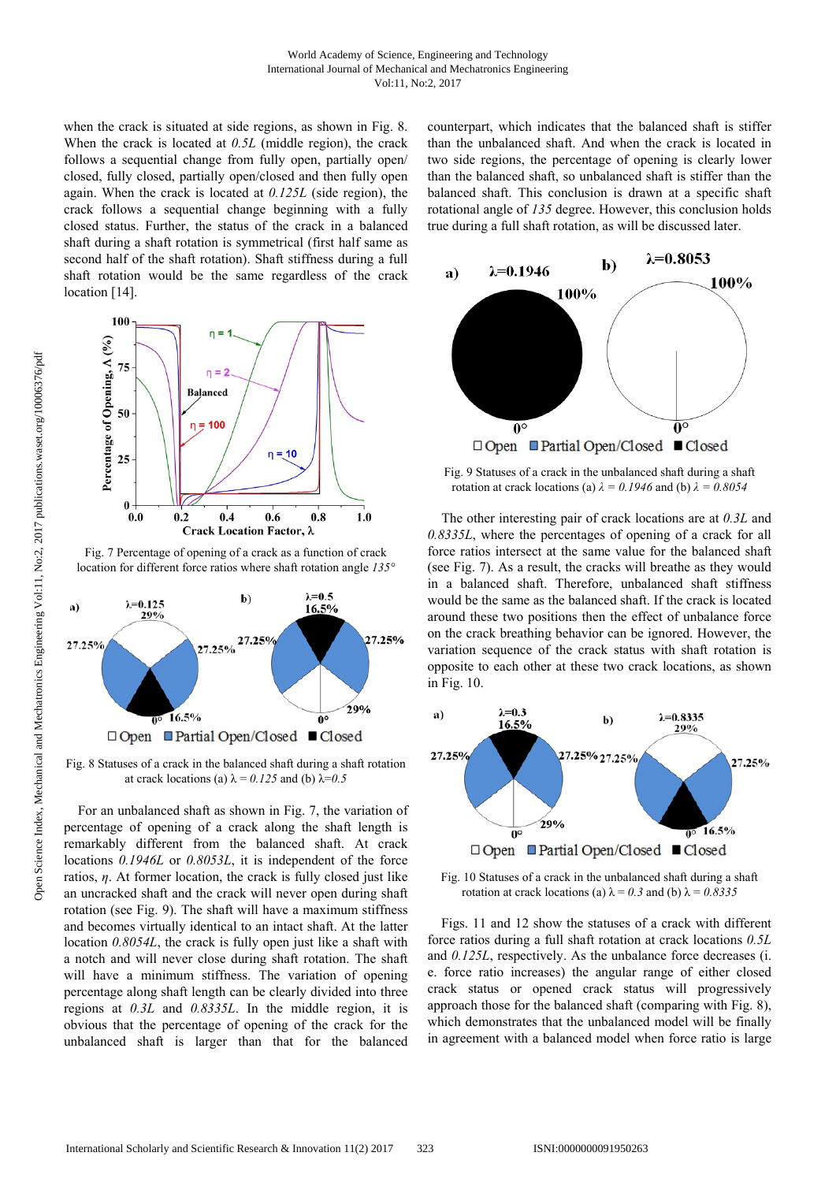when the crack is situated at side regions, as shown in Fig. 8. When the crack is located at *0.5L* (middle region), the crack follows a sequential change from fully open, partially open/ closed, fully closed, partially open/closed and then fully open again. When the crack is located at *0.125L* (side region), the crack follows a sequential change beginning with a fully closed status. Further, the status of the crack in a balanced shaft during a shaft rotation is symmetrical (first half same as second half of the shaft rotation). Shaft stiffness during a full shaft rotation would be the same regardless of the crack location [14].



Fig. 7 Percentage of opening of a crack as a function of crack location for different force ratios where shaft rotation angle *135°*



Fig. 8 Statuses of a crack in the balanced shaft during a shaft rotation at crack locations (a)  $\lambda = 0.125$  and (b)  $\lambda = 0.5$ 

For an unbalanced shaft as shown in Fig. 7, the variation of percentage of opening of a crack along the shaft length is remarkably different from the balanced shaft. At crack locations *0.1946L* or *0.8053L*, it is independent of the force ratios, *η*. At former location, the crack is fully closed just like an uncracked shaft and the crack will never open during shaft rotation (see Fig. 9). The shaft will have a maximum stiffness and becomes virtually identical to an intact shaft. At the latter location *0.8054L*, the crack is fully open just like a shaft with a notch and will never close during shaft rotation. The shaft will have a minimum stiffness. The variation of opening percentage along shaft length can be clearly divided into three regions at *0.3L* and *0.8335L*. In the middle region, it is obvious that the percentage of opening of the crack for the unbalanced shaft is larger than that for the balanced counterpart, which indicates that the balanced shaft is stiffer than the unbalanced shaft. And when the crack is located in two side regions, the percentage of opening is clearly lower than the balanced shaft, so unbalanced shaft is stiffer than the balanced shaft. This conclusion is drawn at a specific shaft rotational angle of *135* degree. However, this conclusion holds true during a full shaft rotation, as will be discussed later.



Fig. 9 Statuses of a crack in the unbalanced shaft during a shaft rotation at crack locations (a)  $\lambda = 0.1946$  and (b)  $\lambda = 0.8054$ 

The other interesting pair of crack locations are at *0.3L* and *0.8335L*, where the percentages of opening of a crack for all force ratios intersect at the same value for the balanced shaft (see Fig. 7). As a result, the cracks will breathe as they would in a balanced shaft. Therefore, unbalanced shaft stiffness would be the same as the balanced shaft. If the crack is located around these two positions then the effect of unbalance force on the crack breathing behavior can be ignored. However, the variation sequence of the crack status with shaft rotation is opposite to each other at these two crack locations, as shown in Fig. 10.



Fig. 10 Statuses of a crack in the unbalanced shaft during a shaft rotation at crack locations (a)  $\lambda = 0.3$  and (b)  $\lambda = 0.8335$ 

Figs. 11 and 12 show the statuses of a crack with different force ratios during a full shaft rotation at crack locations *0.5L* and *0.125L*, respectively. As the unbalance force decreases (i. e. force ratio increases) the angular range of either closed crack status or opened crack status will progressively approach those for the balanced shaft (comparing with Fig. 8), which demonstrates that the unbalanced model will be finally in agreement with a balanced model when force ratio is large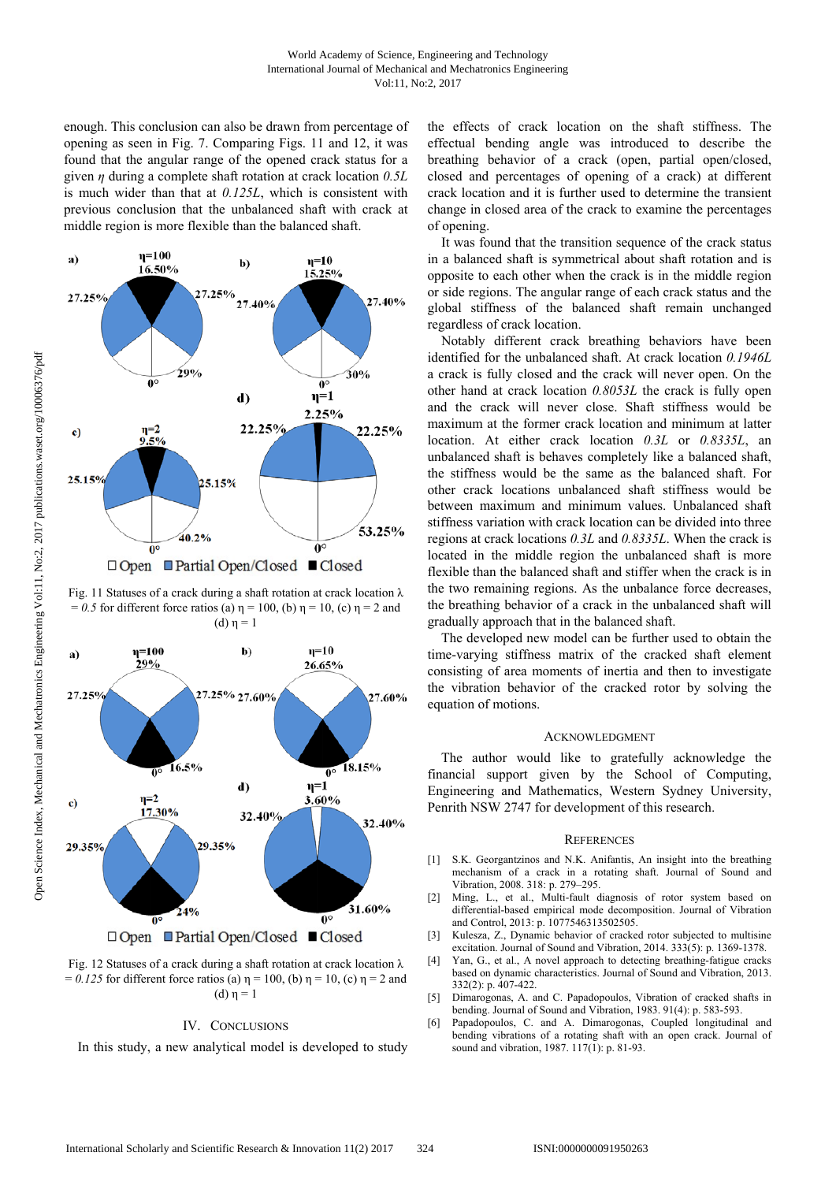enough. This conclusion can also be drawn from percentage of opening as seen in Fig. 7. Comparing Figs. 11 and 12, it was found that the angular range of the opened crack status for a given *η* during a complete shaft rotation at crack location *0.5L* is much wider than that at *0.125L*, which is consistent with previous conclusion that the unbalanced shaft with crack at middle region is more flexible than the balanced shaft.



Fig. 11 Statuses of a crack during a shaft rotation at crack location  $\lambda$ = 0.5 for different force ratios (a)  $\eta$  = 100, (b)  $\eta$  = 10, (c)  $\eta$  = 2 and (d)  $η = 1$ 



Fig. 12 Statuses of a crack during a shaft rotation at crack location λ  $= 0.125$  for different force ratios (a)  $\eta = 100$ , (b)  $\eta = 10$ , (c)  $\eta = 2$  and  $(d)$  η = 1

# IV. CONCLUSIONS

In this study, a new analytical model is developed to study

the effects of crack location on the shaft stiffness. The effectual bending angle was introduced to describe the breathing behavior of a crack (open, partial open/closed, closed and percentages of opening of a crack) at different crack location and it is further used to determine the transient change in closed area of the crack to examine the percentages of opening.

It was found that the transition sequence of the crack status in a balanced shaft is symmetrical about shaft rotation and is opposite to each other when the crack is in the middle region or side regions. The angular range of each crack status and the global stiffness of the balanced shaft remain unchanged regardless of crack location.

Notably different crack breathing behaviors have been identified for the unbalanced shaft. At crack location *0.1946L* a crack is fully closed and the crack will never open. On the other hand at crack location *0.8053L* the crack is fully open and the crack will never close. Shaft stiffness would be maximum at the former crack location and minimum at latter location. At either crack location *0.3L* or *0.8335L*, an unbalanced shaft is behaves completely like a balanced shaft, the stiffness would be the same as the balanced shaft. For other crack locations unbalanced shaft stiffness would be between maximum and minimum values. Unbalanced shaft stiffness variation with crack location can be divided into three regions at crack locations *0.3L* and *0.8335L*. When the crack is located in the middle region the unbalanced shaft is more flexible than the balanced shaft and stiffer when the crack is in the two remaining regions. As the unbalance force decreases, the breathing behavior of a crack in the unbalanced shaft will gradually approach that in the balanced shaft.

The developed new model can be further used to obtain the time-varying stiffness matrix of the cracked shaft element consisting of area moments of inertia and then to investigate the vibration behavior of the cracked rotor by solving the equation of motions.

#### ACKNOWLEDGMENT

The author would like to gratefully acknowledge the financial support given by the School of Computing, Engineering and Mathematics, Western Sydney University, Penrith NSW 2747 for development of this research.

#### **REFERENCES**

- [1] S.K. Georgantzinos and N.K. Anifantis, An insight into the breathing mechanism of a crack in a rotating shaft. Journal of Sound and Vibration, 2008. 318: p. 279–295.
- [2] Ming, L., et al., Multi-fault diagnosis of rotor system based on differential-based empirical mode decomposition. Journal of Vibration and Control, 2013: p. 1077546313502505.
- [3] Kulesza, Z., Dynamic behavior of cracked rotor subjected to multisine excitation. Journal of Sound and Vibration, 2014. 333(5): p. 1369-1378.
- [4] Yan, G., et al., A novel approach to detecting breathing-fatigue cracks based on dynamic characteristics. Journal of Sound and Vibration, 2013. 332(2): p. 407-422.
- [5] Dimarogonas, A. and C. Papadopoulos, Vibration of cracked shafts in bending. Journal of Sound and Vibration, 1983. 91(4): p. 583-593.
- [6] Papadopoulos, C. and A. Dimarogonas, Coupled longitudinal and bending vibrations of a rotating shaft with an open crack. Journal of sound and vibration, 1987. 117(1): p. 81-93.